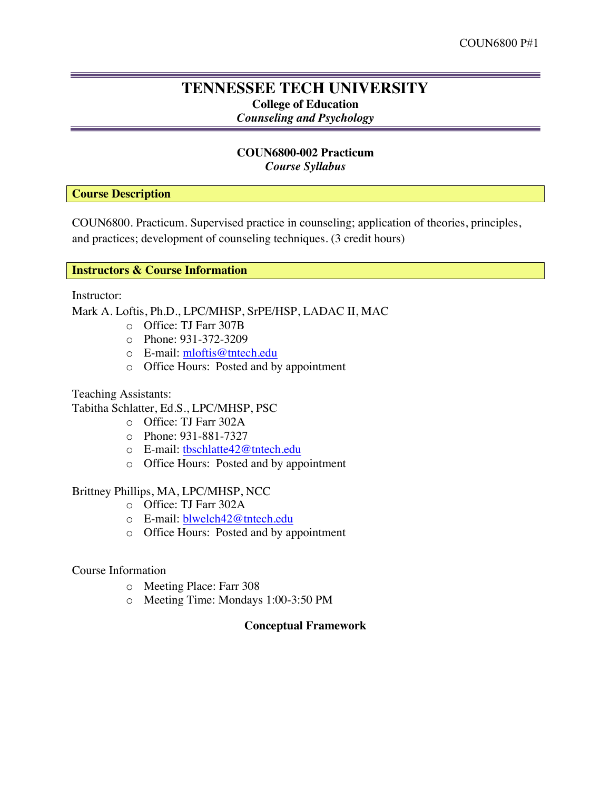# **TENNESSEE TECH UNIVERSITY College of Education** *Counseling and Psychology*

# **COUN6800-002 Practicum** *Course Syllabus*

**Course Description**

COUN6800. Practicum. Supervised practice in counseling; application of theories, principles, and practices; development of counseling techniques. (3 credit hours)

# **Instructors & Course Information**

Instructor:

Mark A. Loftis, Ph.D., LPC/MHSP, SrPE/HSP, LADAC II, MAC

- o Office: TJ Farr 307B
- o Phone: 931-372-3209
- o E-mail: mloftis@tntech.edu
- o Office Hours: Posted and by appointment

Teaching Assistants:

Tabitha Schlatter, Ed.S., LPC/MHSP, PSC

- o Office: TJ Farr 302A
- o Phone: 931-881-7327
- o E-mail: tbschlatte42@tntech.edu
- o Office Hours: Posted and by appointment

# Brittney Phillips, MA, LPC/MHSP, NCC

- o Office: TJ Farr 302A
- o E-mail: blwelch42@tntech.edu
- o Office Hours: Posted and by appointment

# Course Information

- o Meeting Place: Farr 308
- o Meeting Time: Mondays 1:00-3:50 PM

# **Conceptual Framework**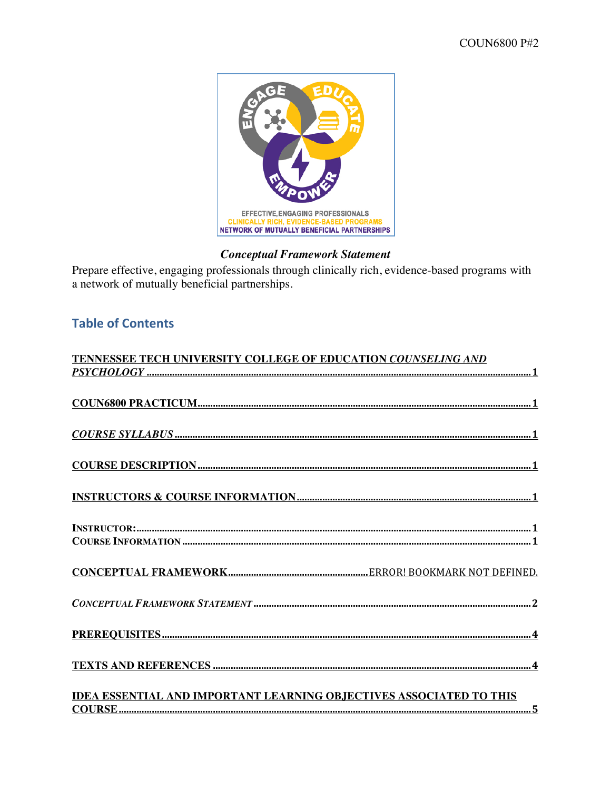

# **Conceptual Framework Statement**

Prepare effective, engaging professionals through clinically rich, evidence-based programs with a network of mutually beneficial partnerships.

# **Table of Contents**

| $\label{eq:2} \underline{COURSE~SYLLABUS} \,\, \underline{} \,\, \underline{} \,\, \underline{} \,\, \underline{} \,\, \underline{} \,\, \underline{} \,\, \underline{} \,\, \underline{} \,\, \underline{} \,\, \underline{} \,\, \underline{} \,\, \underline{} \,\, \underline{} \,\, \underline{} \,\, \underline{} \,\, \underline{} \,\, \underline{} \,\, \underline{} \,\, \underline{} \,\, \underline{} \,\, \underline{} \,\, \underline{} \,\, \underline{} \,\, \underline{} \,\, \underline{}$ |
|--------------------------------------------------------------------------------------------------------------------------------------------------------------------------------------------------------------------------------------------------------------------------------------------------------------------------------------------------------------------------------------------------------------------------------------------------------------------------------------------------------------|
|                                                                                                                                                                                                                                                                                                                                                                                                                                                                                                              |
|                                                                                                                                                                                                                                                                                                                                                                                                                                                                                                              |
|                                                                                                                                                                                                                                                                                                                                                                                                                                                                                                              |
|                                                                                                                                                                                                                                                                                                                                                                                                                                                                                                              |
|                                                                                                                                                                                                                                                                                                                                                                                                                                                                                                              |
|                                                                                                                                                                                                                                                                                                                                                                                                                                                                                                              |
|                                                                                                                                                                                                                                                                                                                                                                                                                                                                                                              |
|                                                                                                                                                                                                                                                                                                                                                                                                                                                                                                              |
|                                                                                                                                                                                                                                                                                                                                                                                                                                                                                                              |
|                                                                                                                                                                                                                                                                                                                                                                                                                                                                                                              |
|                                                                                                                                                                                                                                                                                                                                                                                                                                                                                                              |
|                                                                                                                                                                                                                                                                                                                                                                                                                                                                                                              |
|                                                                                                                                                                                                                                                                                                                                                                                                                                                                                                              |
|                                                                                                                                                                                                                                                                                                                                                                                                                                                                                                              |
|                                                                                                                                                                                                                                                                                                                                                                                                                                                                                                              |
|                                                                                                                                                                                                                                                                                                                                                                                                                                                                                                              |
|                                                                                                                                                                                                                                                                                                                                                                                                                                                                                                              |
|                                                                                                                                                                                                                                                                                                                                                                                                                                                                                                              |
| IDEA ESSENTIAL AND IMPORTANT LEARNING OBJECTIVES ASSOCIATED TO THIS                                                                                                                                                                                                                                                                                                                                                                                                                                          |
|                                                                                                                                                                                                                                                                                                                                                                                                                                                                                                              |
|                                                                                                                                                                                                                                                                                                                                                                                                                                                                                                              |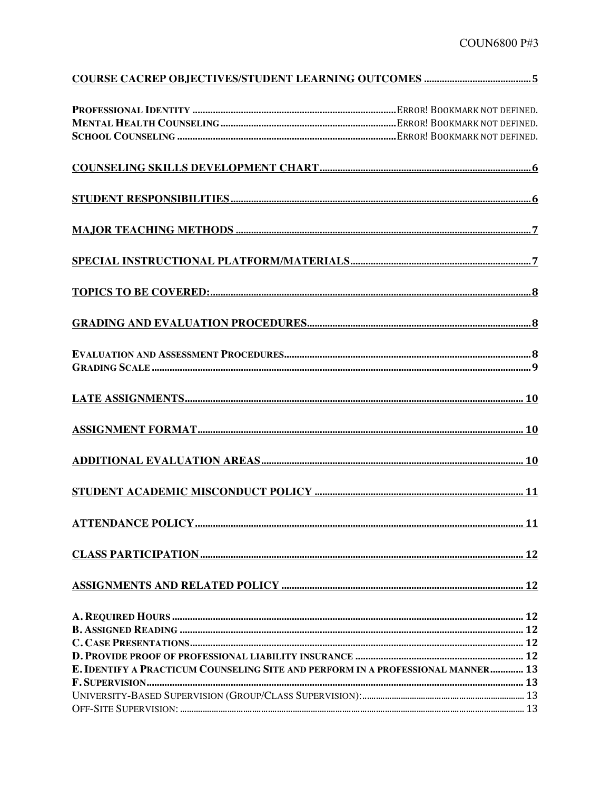| E. IDENTIFY A PRACTICUM COUNSELING SITE AND PERFORM IN A PROFESSIONAL MANNER 13 |  |
|---------------------------------------------------------------------------------|--|
|                                                                                 |  |
|                                                                                 |  |
|                                                                                 |  |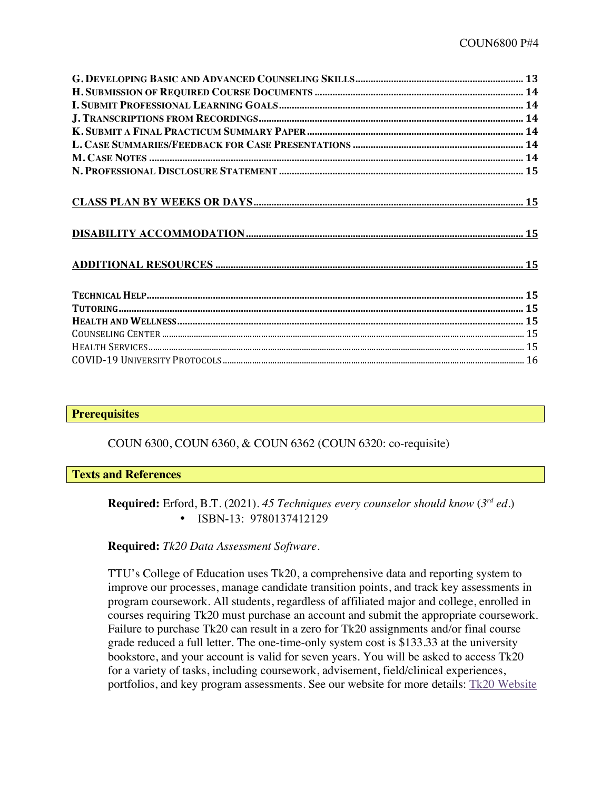# **Prerequisites**

COUN 6300, COUN 6360, & COUN 6362 (COUN 6320: co-requisite)

#### **Texts and References**

**Required:** Erford, B.T. (2021). *45 Techniques every counselor should know* (*3rd ed*.) • ISBN-13: 9780137412129

# **Required:** *Tk20 Data Assessment Software.*

TTU's College of Education uses Tk20, a comprehensive data and reporting system to improve our processes, manage candidate transition points, and track key assessments in program coursework. All students, regardless of affiliated major and college, enrolled in courses requiring Tk20 must purchase an account and submit the appropriate coursework. Failure to purchase Tk20 can result in a zero for Tk20 assignments and/or final course grade reduced a full letter. The one-time-only system cost is \$133.33 at the university bookstore, and your account is valid for seven years. You will be asked to access Tk20 for a variety of tasks, including coursework, advisement, field/clinical experiences, portfolios, and key program assessments. See our website for more details: Tk20 Website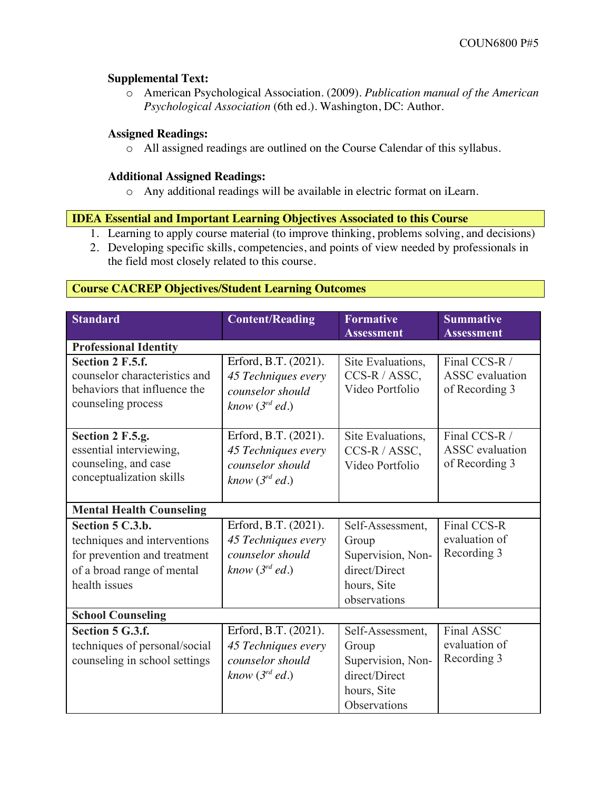# **Supplemental Text:**

o American Psychological Association. (2009). *Publication manual of the American Psychological Association* (6th ed.). Washington, DC: Author.

# **Assigned Readings:**

o All assigned readings are outlined on the Course Calendar of this syllabus.

# **Additional Assigned Readings:**

o Any additional readings will be available in electric format on iLearn.

# **IDEA Essential and Important Learning Objectives Associated to this Course**

- 1. Learning to apply course material (to improve thinking, problems solving, and decisions)
- 2. Developing specific skills, competencies, and points of view needed by professionals in the field most closely related to this course.

# **Course CACREP Objectives/Student Learning Outcomes**

| <b>Standard</b>                                                                                                                 | <b>Content/Reading</b>                                                                 | <b>Formative</b><br><b>Assessment</b>                                                          | <b>Summative</b><br><b>Assessment</b>                     |
|---------------------------------------------------------------------------------------------------------------------------------|----------------------------------------------------------------------------------------|------------------------------------------------------------------------------------------------|-----------------------------------------------------------|
| <b>Professional Identity</b>                                                                                                    |                                                                                        |                                                                                                |                                                           |
| <b>Section 2 F.5.f.</b><br>counselor characteristics and<br>behaviors that influence the<br>counseling process                  | Erford, B.T. (2021).<br>45 Techniques every<br>counselor should<br>know $(3^{rd}$ ed.) | Site Evaluations,<br>CCS-R / ASSC,<br>Video Portfolio                                          | Final CCS-R /<br><b>ASSC</b> evaluation<br>of Recording 3 |
| Section 2 F.5.g.<br>essential interviewing,<br>counseling, and case<br>conceptualization skills                                 | Erford, B.T. (2021).<br>45 Techniques every<br>counselor should<br>know $(3^{rd}$ ed.) | Site Evaluations,<br>CCS-R / ASSC,<br>Video Portfolio                                          | Final CCS-R /<br><b>ASSC</b> evaluation<br>of Recording 3 |
| <b>Mental Health Counseling</b>                                                                                                 |                                                                                        |                                                                                                |                                                           |
| Section 5 C.3.b.<br>techniques and interventions<br>for prevention and treatment<br>of a broad range of mental<br>health issues | Erford, B.T. (2021).<br>45 Techniques every<br>counselor should<br>know $(3^{rd}$ ed.) | Self-Assessment,<br>Group<br>Supervision, Non-<br>direct/Direct<br>hours, Site<br>observations | Final CCS-R<br>evaluation of<br>Recording 3               |
| <b>School Counseling</b>                                                                                                        |                                                                                        |                                                                                                |                                                           |
| Section 5 G.3.f.<br>techniques of personal/social<br>counseling in school settings                                              | Erford, B.T. (2021).<br>45 Techniques every<br>counselor should<br>know $(3^{rd}$ ed.) | Self-Assessment,<br>Group<br>Supervision, Non-<br>direct/Direct<br>hours, Site<br>Observations | Final ASSC<br>evaluation of<br>Recording 3                |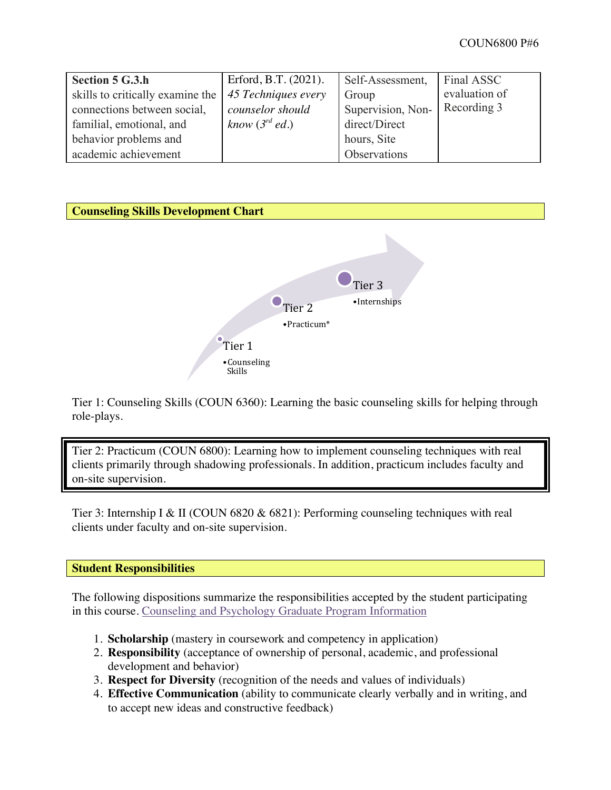| <b>Section 5 G.3.h</b>           | Erford, B.T. $(2021)$ . | Self-Assessment,  | Final ASSC    |
|----------------------------------|-------------------------|-------------------|---------------|
| skills to critically examine the | 45 Techniques every     | Group             | evaluation of |
| connections between social,      | counselor should        | Supervision, Non- | Recording 3   |
| familial, emotional, and         | know $(3^{rd}$ ed.)     | direct/Direct     |               |
| behavior problems and            |                         | hours, Site       |               |
| academic achievement             |                         | Observations      |               |



Tier 1: Counseling Skills (COUN 6360): Learning the basic counseling skills for helping through role-plays.

Tier 2: Practicum (COUN 6800): Learning how to implement counseling techniques with real clients primarily through shadowing professionals. In addition, practicum includes faculty and on-site supervision.

Tier 3: Internship I & II (COUN 6820 & 6821): Performing counseling techniques with real clients under faculty and on-site supervision.

# **Student Responsibilities**

The following dispositions summarize the responsibilities accepted by the student participating in this course. Counseling and Psychology Graduate Program Information

- 1. **Scholarship** (mastery in coursework and competency in application)
- 2. **Responsibility** (acceptance of ownership of personal, academic, and professional development and behavior)
- 3. **Respect for Diversity** (recognition of the needs and values of individuals)
- 4. **Effective Communication** (ability to communicate clearly verbally and in writing, and to accept new ideas and constructive feedback)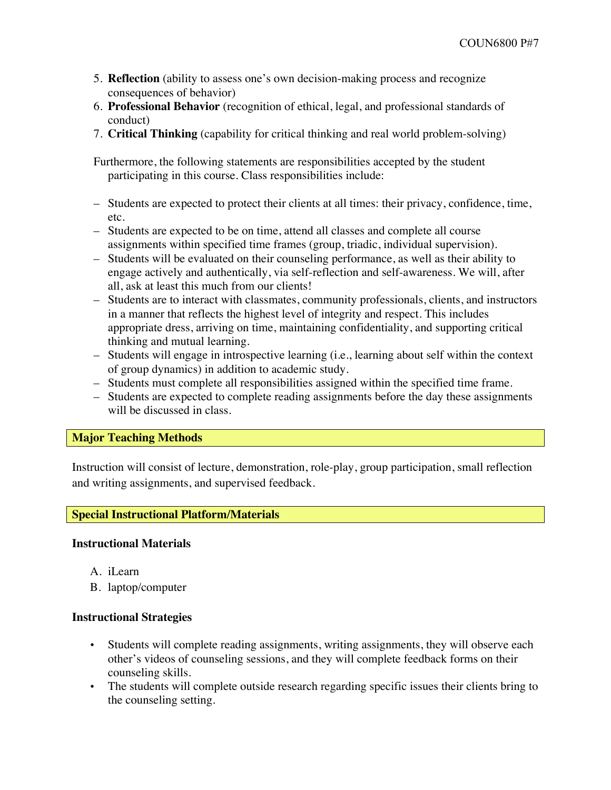- 5. **Reflection** (ability to assess one's own decision-making process and recognize consequences of behavior)
- 6. **Professional Behavior** (recognition of ethical, legal, and professional standards of conduct)
- 7. **Critical Thinking** (capability for critical thinking and real world problem-solving)

Furthermore, the following statements are responsibilities accepted by the student participating in this course. Class responsibilities include:

- Students are expected to protect their clients at all times: their privacy, confidence, time, etc.
- Students are expected to be on time, attend all classes and complete all course assignments within specified time frames (group, triadic, individual supervision).
- Students will be evaluated on their counseling performance, as well as their ability to engage actively and authentically, via self-reflection and self-awareness. We will, after all, ask at least this much from our clients!
- Students are to interact with classmates, community professionals, clients, and instructors in a manner that reflects the highest level of integrity and respect. This includes appropriate dress, arriving on time, maintaining confidentiality, and supporting critical thinking and mutual learning.
- Students will engage in introspective learning (i.e., learning about self within the context of group dynamics) in addition to academic study.
- Students must complete all responsibilities assigned within the specified time frame.
- Students are expected to complete reading assignments before the day these assignments will be discussed in class.

# **Major Teaching Methods**

Instruction will consist of lecture, demonstration, role-play, group participation, small reflection and writing assignments, and supervised feedback.

# **Special Instructional Platform/Materials**

#### **Instructional Materials**

- A. iLearn
- B. laptop/computer

# **Instructional Strategies**

- Students will complete reading assignments, writing assignments, they will observe each other's videos of counseling sessions, and they will complete feedback forms on their counseling skills.
- The students will complete outside research regarding specific issues their clients bring to the counseling setting.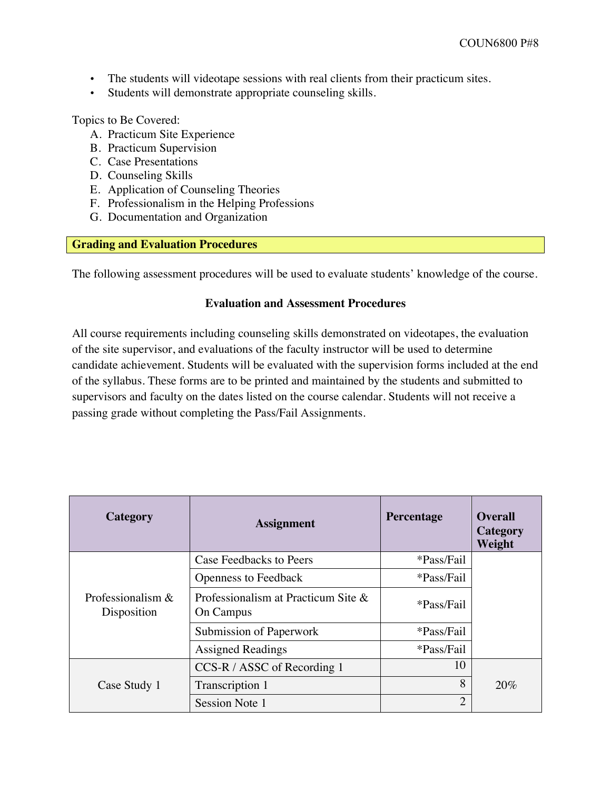- The students will videotape sessions with real clients from their practicum sites.
- Students will demonstrate appropriate counseling skills.

Topics to Be Covered:

- A. Practicum Site Experience
- B. Practicum Supervision
- C. Case Presentations
- D. Counseling Skills
- E. Application of Counseling Theories
- F. Professionalism in the Helping Professions
- G. Documentation and Organization

# **Grading and Evaluation Procedures**

The following assessment procedures will be used to evaluate students' knowledge of the course.

#### **Evaluation and Assessment Procedures**

All course requirements including counseling skills demonstrated on videotapes, the evaluation of the site supervisor, and evaluations of the faculty instructor will be used to determine candidate achievement. Students will be evaluated with the supervision forms included at the end of the syllabus. These forms are to be printed and maintained by the students and submitted to supervisors and faculty on the dates listed on the course calendar. Students will not receive a passing grade without completing the Pass/Fail Assignments.

| <b>Category</b>                    | <b>Assignment</b>                                | Percentage     | <b>Overall</b><br>Category<br>Weight |
|------------------------------------|--------------------------------------------------|----------------|--------------------------------------|
|                                    | Case Feedbacks to Peers                          | *Pass/Fail     |                                      |
|                                    | <b>Openness to Feedback</b>                      | *Pass/Fail     |                                      |
| Professionalism $&$<br>Disposition | Professionalism at Practicum Site &<br>On Campus | *Pass/Fail     |                                      |
|                                    | Submission of Paperwork                          | *Pass/Fail     |                                      |
|                                    | <b>Assigned Readings</b>                         | *Pass/Fail     |                                      |
|                                    | CCS-R / ASSC of Recording 1                      | 10             |                                      |
| Case Study 1                       | Transcription 1                                  | 8              | 20%                                  |
|                                    | Session Note 1                                   | $\overline{2}$ |                                      |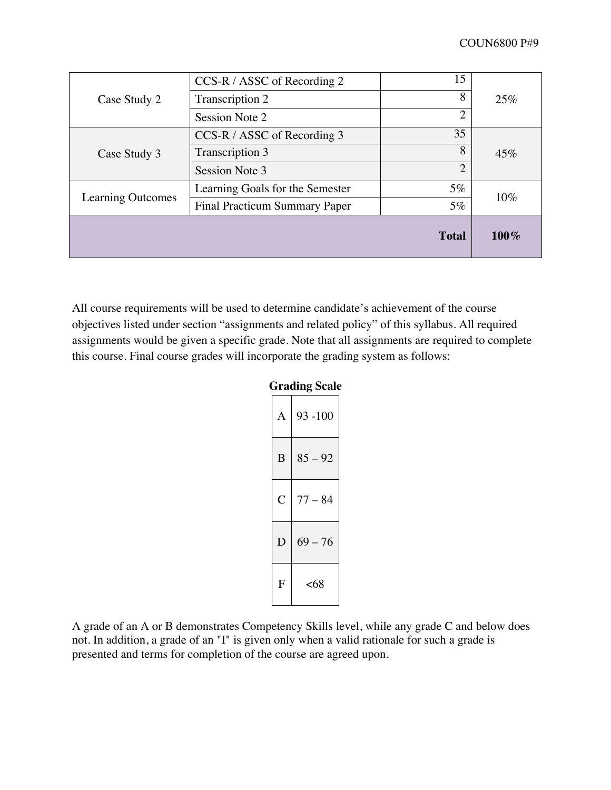|                          |                                      | <b>Total</b>   | $100\%$ |
|--------------------------|--------------------------------------|----------------|---------|
| <b>Learning Outcomes</b> | <b>Final Practicum Summary Paper</b> | $5\%$          |         |
|                          | Learning Goals for the Semester      | $5\%$          | 10%     |
|                          | Session Note 3                       | $\overline{2}$ |         |
| Case Study 3             | Transcription 3                      | 8              | 45%     |
|                          | CCS-R / ASSC of Recording 3          | 35             |         |
|                          | Session Note 2                       | $\overline{2}$ |         |
| Case Study 2             | Transcription 2                      | 8              | 25%     |
|                          | $CCS-R / ASSC$ of Recording 2        | 15             |         |

All course requirements will be used to determine candidate's achievement of the course objectives listed under section "assignments and related policy" of this syllabus. All required assignments would be given a specific grade. Note that all assignments are required to complete this course. Final course grades will incorporate the grading system as follows:

# **Grading Scale**

| A | $93 - 100$ |
|---|------------|
| B | $85 - 92$  |
| Ċ | $77 - 84$  |
| D | $69 - 76$  |
| F | <68        |

A grade of an A or B demonstrates Competency Skills level, while any grade C and below does not. In addition, a grade of an "I" is given only when a valid rationale for such a grade is presented and terms for completion of the course are agreed upon.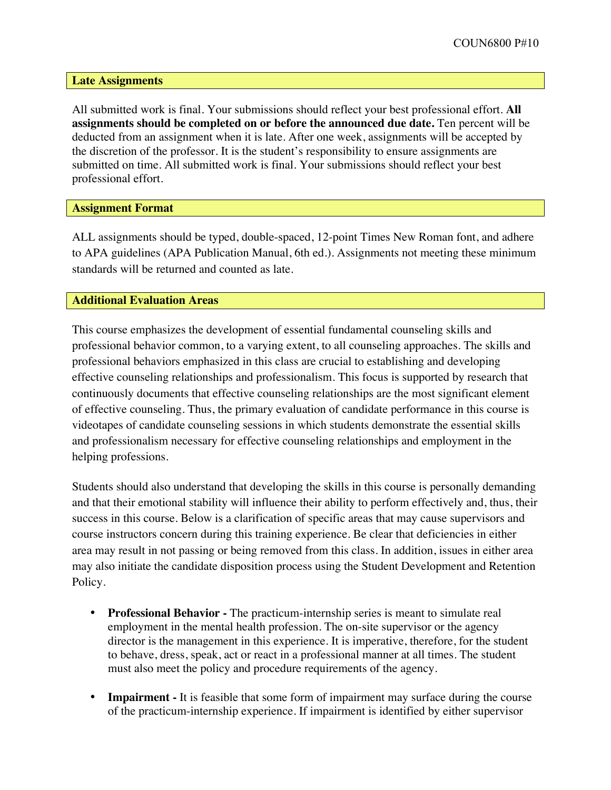**Late Assignments**

All submitted work is final. Your submissions should reflect your best professional effort. **All assignments should be completed on or before the announced due date.** Ten percent will be deducted from an assignment when it is late. After one week, assignments will be accepted by the discretion of the professor. It is the student's responsibility to ensure assignments are submitted on time. All submitted work is final. Your submissions should reflect your best professional effort.

**Assignment Format**

ALL assignments should be typed, double-spaced, 12-point Times New Roman font, and adhere to APA guidelines (APA Publication Manual, 6th ed.). Assignments not meeting these minimum standards will be returned and counted as late.

#### **Additional Evaluation Areas**

This course emphasizes the development of essential fundamental counseling skills and professional behavior common, to a varying extent, to all counseling approaches. The skills and professional behaviors emphasized in this class are crucial to establishing and developing effective counseling relationships and professionalism. This focus is supported by research that continuously documents that effective counseling relationships are the most significant element of effective counseling. Thus, the primary evaluation of candidate performance in this course is videotapes of candidate counseling sessions in which students demonstrate the essential skills and professionalism necessary for effective counseling relationships and employment in the helping professions.

Students should also understand that developing the skills in this course is personally demanding and that their emotional stability will influence their ability to perform effectively and, thus, their success in this course. Below is a clarification of specific areas that may cause supervisors and course instructors concern during this training experience. Be clear that deficiencies in either area may result in not passing or being removed from this class. In addition, issues in either area may also initiate the candidate disposition process using the Student Development and Retention Policy.

- **Professional Behavior -** The practicum-internship series is meant to simulate real employment in the mental health profession. The on-site supervisor or the agency director is the management in this experience. It is imperative, therefore, for the student to behave, dress, speak, act or react in a professional manner at all times. The student must also meet the policy and procedure requirements of the agency.
- **Impairment** It is feasible that some form of impairment may surface during the course of the practicum-internship experience. If impairment is identified by either supervisor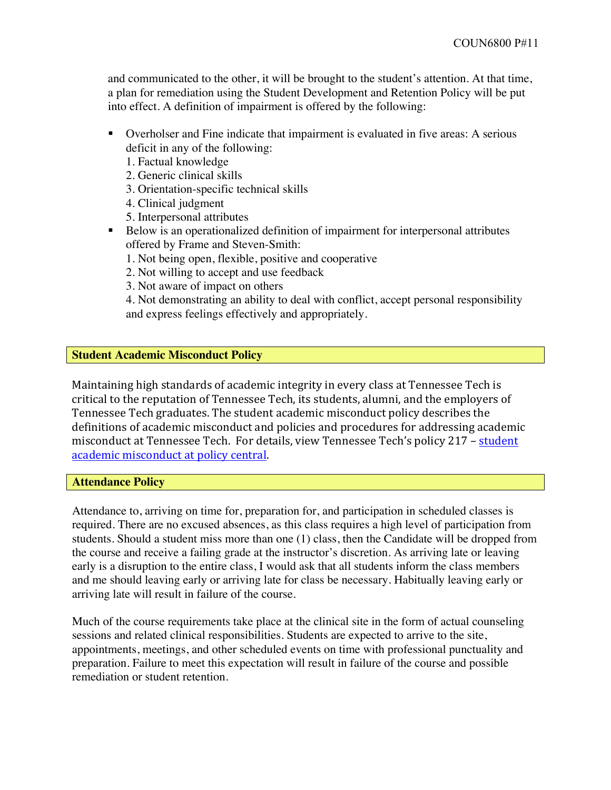and communicated to the other, it will be brought to the student's attention. At that time, a plan for remediation using the Student Development and Retention Policy will be put into effect. A definition of impairment is offered by the following:

- § Overholser and Fine indicate that impairment is evaluated in five areas: A serious deficit in any of the following:
	- 1. Factual knowledge
	- 2. Generic clinical skills
	- 3. Orientation-specific technical skills
	- 4. Clinical judgment
	- 5. Interpersonal attributes
- Below is an operationalized definition of impairment for interpersonal attributes offered by Frame and Steven-Smith:
	- 1. Not being open, flexible, positive and cooperative
	- 2. Not willing to accept and use feedback
	- 3. Not aware of impact on others

4. Not demonstrating an ability to deal with conflict, accept personal responsibility and express feelings effectively and appropriately.

#### **Student Academic Misconduct Policy**

Maintaining high standards of academic integrity in every class at Tennessee Tech is critical to the reputation of Tennessee Tech, its students, alumni, and the employers of Tennessee Tech graduates. The student academic misconduct policy describes the definitions of academic misconduct and policies and procedures for addressing academic misconduct at Tennessee Tech. For details, view Tennessee Tech's policy 217 - student academic misconduct at policy central.

#### **Attendance Policy**

Attendance to, arriving on time for, preparation for, and participation in scheduled classes is required. There are no excused absences, as this class requires a high level of participation from students. Should a student miss more than one (1) class, then the Candidate will be dropped from the course and receive a failing grade at the instructor's discretion. As arriving late or leaving early is a disruption to the entire class, I would ask that all students inform the class members and me should leaving early or arriving late for class be necessary. Habitually leaving early or arriving late will result in failure of the course.

Much of the course requirements take place at the clinical site in the form of actual counseling sessions and related clinical responsibilities. Students are expected to arrive to the site, appointments, meetings, and other scheduled events on time with professional punctuality and preparation. Failure to meet this expectation will result in failure of the course and possible remediation or student retention.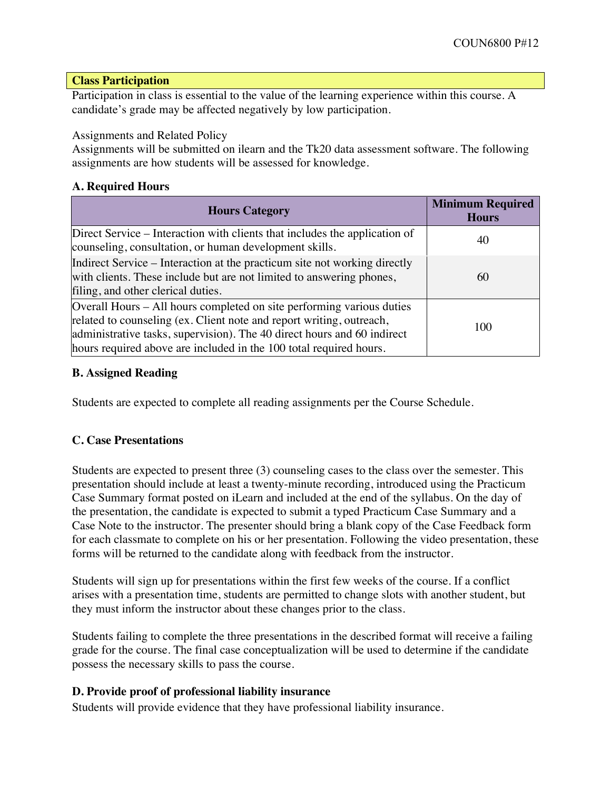#### **Class Participation**

Participation in class is essential to the value of the learning experience within this course. A candidate's grade may be affected negatively by low participation.

Assignments and Related Policy

Assignments will be submitted on ilearn and the Tk20 data assessment software. The following assignments are how students will be assessed for knowledge.

# **A. Required Hours**

| <b>Hours Category</b>                                                                                                                                                                                                                                                                          | <b>Minimum Required</b><br><b>Hours</b> |
|------------------------------------------------------------------------------------------------------------------------------------------------------------------------------------------------------------------------------------------------------------------------------------------------|-----------------------------------------|
| Direct Service – Interaction with clients that includes the application of<br>counseling, consultation, or human development skills.                                                                                                                                                           | 40                                      |
| Indirect Service – Interaction at the practicum site not working directly<br>with clients. These include but are not limited to answering phones,<br>filing, and other clerical duties.                                                                                                        | 60                                      |
| Overall Hours – All hours completed on site performing various duties<br>related to counseling (ex. Client note and report writing, outreach,<br>administrative tasks, supervision). The 40 direct hours and 60 indirect<br>hours required above are included in the 100 total required hours. | 100                                     |

# **B. Assigned Reading**

Students are expected to complete all reading assignments per the Course Schedule.

# **C. Case Presentations**

Students are expected to present three (3) counseling cases to the class over the semester. This presentation should include at least a twenty-minute recording, introduced using the Practicum Case Summary format posted on iLearn and included at the end of the syllabus. On the day of the presentation, the candidate is expected to submit a typed Practicum Case Summary and a Case Note to the instructor. The presenter should bring a blank copy of the Case Feedback form for each classmate to complete on his or her presentation. Following the video presentation, these forms will be returned to the candidate along with feedback from the instructor.

Students will sign up for presentations within the first few weeks of the course. If a conflict arises with a presentation time, students are permitted to change slots with another student, but they must inform the instructor about these changes prior to the class.

Students failing to complete the three presentations in the described format will receive a failing grade for the course. The final case conceptualization will be used to determine if the candidate possess the necessary skills to pass the course.

# **D. Provide proof of professional liability insurance**

Students will provide evidence that they have professional liability insurance.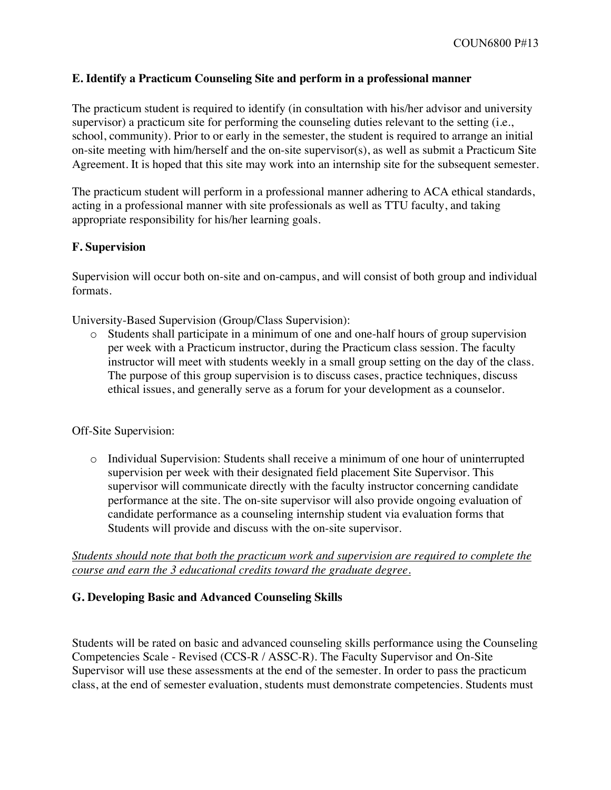# **E. Identify a Practicum Counseling Site and perform in a professional manner**

The practicum student is required to identify (in consultation with his/her advisor and university supervisor) a practicum site for performing the counseling duties relevant to the setting (i.e., school, community). Prior to or early in the semester, the student is required to arrange an initial on-site meeting with him/herself and the on-site supervisor(s), as well as submit a Practicum Site Agreement. It is hoped that this site may work into an internship site for the subsequent semester.

The practicum student will perform in a professional manner adhering to ACA ethical standards, acting in a professional manner with site professionals as well as TTU faculty, and taking appropriate responsibility for his/her learning goals.

# **F. Supervision**

Supervision will occur both on-site and on-campus, and will consist of both group and individual formats.

University-Based Supervision (Group/Class Supervision):

o Students shall participate in a minimum of one and one-half hours of group supervision per week with a Practicum instructor, during the Practicum class session. The faculty instructor will meet with students weekly in a small group setting on the day of the class. The purpose of this group supervision is to discuss cases, practice techniques, discuss ethical issues, and generally serve as a forum for your development as a counselor.

# Off-Site Supervision:

o Individual Supervision: Students shall receive a minimum of one hour of uninterrupted supervision per week with their designated field placement Site Supervisor. This supervisor will communicate directly with the faculty instructor concerning candidate performance at the site. The on-site supervisor will also provide ongoing evaluation of candidate performance as a counseling internship student via evaluation forms that Students will provide and discuss with the on-site supervisor.

# *Students should note that both the practicum work and supervision are required to complete the course and earn the 3 educational credits toward the graduate degree.*

# **G. Developing Basic and Advanced Counseling Skills**

Students will be rated on basic and advanced counseling skills performance using the Counseling Competencies Scale - Revised (CCS-R / ASSC-R). The Faculty Supervisor and On-Site Supervisor will use these assessments at the end of the semester. In order to pass the practicum class, at the end of semester evaluation, students must demonstrate competencies. Students must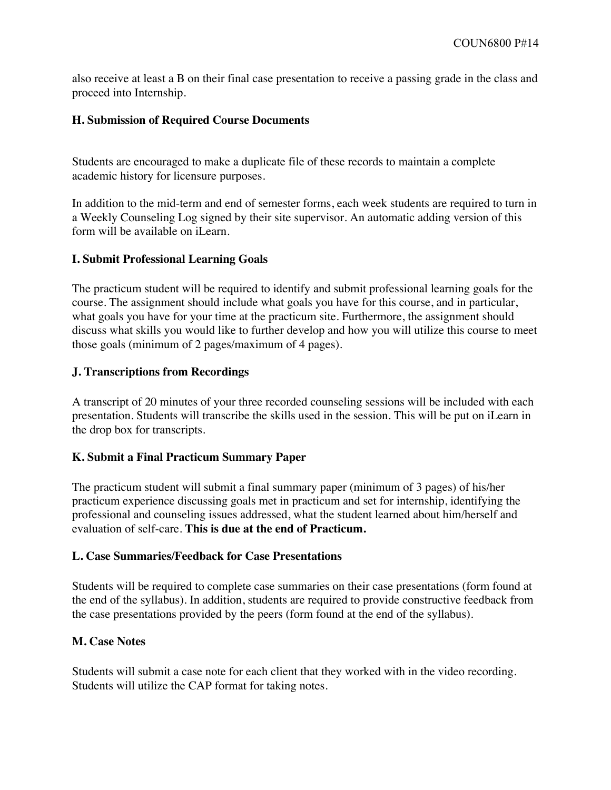also receive at least a B on their final case presentation to receive a passing grade in the class and proceed into Internship.

# **H. Submission of Required Course Documents**

Students are encouraged to make a duplicate file of these records to maintain a complete academic history for licensure purposes.

In addition to the mid-term and end of semester forms, each week students are required to turn in a Weekly Counseling Log signed by their site supervisor. An automatic adding version of this form will be available on iLearn.

# **I. Submit Professional Learning Goals**

The practicum student will be required to identify and submit professional learning goals for the course. The assignment should include what goals you have for this course, and in particular, what goals you have for your time at the practicum site. Furthermore, the assignment should discuss what skills you would like to further develop and how you will utilize this course to meet those goals (minimum of 2 pages/maximum of 4 pages).

# **J. Transcriptions from Recordings**

A transcript of 20 minutes of your three recorded counseling sessions will be included with each presentation. Students will transcribe the skills used in the session. This will be put on iLearn in the drop box for transcripts.

# **K. Submit a Final Practicum Summary Paper**

The practicum student will submit a final summary paper (minimum of 3 pages) of his/her practicum experience discussing goals met in practicum and set for internship, identifying the professional and counseling issues addressed, what the student learned about him/herself and evaluation of self-care. **This is due at the end of Practicum.**

# **L. Case Summaries/Feedback for Case Presentations**

Students will be required to complete case summaries on their case presentations (form found at the end of the syllabus). In addition, students are required to provide constructive feedback from the case presentations provided by the peers (form found at the end of the syllabus).

# **M. Case Notes**

Students will submit a case note for each client that they worked with in the video recording. Students will utilize the CAP format for taking notes.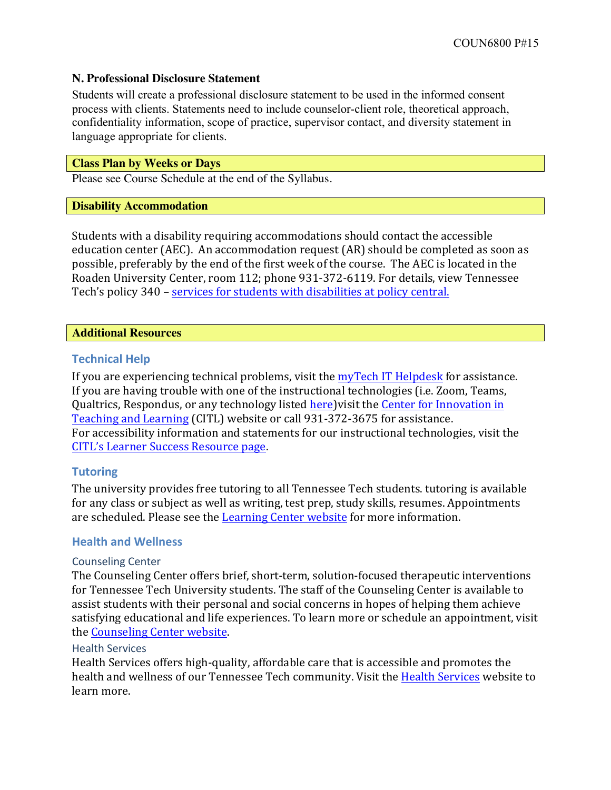#### **N. Professional Disclosure Statement**

Students will create a professional disclosure statement to be used in the informed consent process with clients. Statements need to include counselor-client role, theoretical approach, confidentiality information, scope of practice, supervisor contact, and diversity statement in language appropriate for clients.

#### **Class Plan by Weeks or Days**

Please see Course Schedule at the end of the Syllabus.

#### **Disability Accommodation**

Students with a disability requiring accommodations should contact the accessible education center (AEC). An accommodation request (AR) should be completed as soon as possible, preferably by the end of the first week of the course. The AEC is located in the Roaden University Center, room 112; phone 931-372-6119. For details, view Tennessee Tech's policy 340 – services for students with disabilities at policy central.

#### **Additional Resources**

# **Technical Help**

If you are experiencing technical problems, visit the  $myTech$  IT Helpdesk for assistance. If you are having trouble with one of the instructional technologies (i.e. Zoom, Teams, Qualtrics, Respondus, or any technology listed here) visit the Center for Innovation in Teaching and Learning (CITL) website or call 931-372-3675 for assistance. For accessibility information and statements for our instructional technologies, visit the CITL's Learner Success Resource page.

# **Tutoring**

The university provides free tutoring to all Tennessee Tech students. tutoring is available for any class or subject as well as writing, test prep, study skills, resumes. Appointments are scheduled. Please see the Learning Center website for more information.

# **Health and Wellness**

#### Counseling Center

The Counseling Center offers brief, short-term, solution-focused therapeutic interventions for Tennessee Tech University students. The staff of the Counseling Center is available to assist students with their personal and social concerns in hopes of helping them achieve satisfying educational and life experiences. To learn more or schedule an appointment, visit the Counseling Center website.

#### **Health Services**

Health Services offers high-quality, affordable care that is accessible and promotes the health and wellness of our Tennessee Tech community. Visit the Health Services website to learn more.